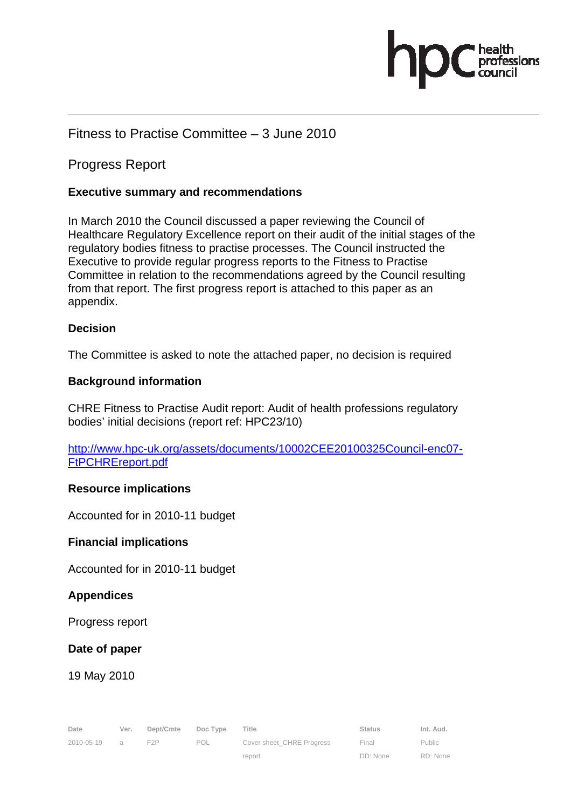# pasions

## Fitness to Practise Committee – 3 June 2010

## Progress Report

## **Executive summary and recommendations**

In March 2010 the Council discussed a paper reviewing the Council of Healthcare Regulatory Excellence report on their audit of the initial stages of the regulatory bodies fitness to practise processes. The Council instructed the Executive to provide regular progress reports to the Fitness to Practise Committee in relation to the recommendations agreed by the Council resulting from that report. The first progress report is attached to this paper as an appendix.

## **Decision**

The Committee is asked to note the attached paper, no decision is required

## **Background information**

CHRE Fitness to Practise Audit report: Audit of health professions regulatory bodies' initial decisions (report ref: HPC23/10)

http://www.hpc-uk.org/assets/documents/10002CEE20100325Council-enc07- FtPCHREreport.pdf

## **Resource implications**

Accounted for in 2010-11 budget

## **Financial implications**

Accounted for in 2010-11 budget

## **Appendices**

Progress report

## **Date of paper**

19 May 2010

| Date         | Ver. | Dept/Cmte Doc Type Title |     |                           | Status | Int. Aud. |
|--------------|------|--------------------------|-----|---------------------------|--------|-----------|
| 2010-05-19 a |      | F <sub>2</sub> P         | POL | Cover sheet CHRE Progress | Final  | Public    |

report

Public RD: None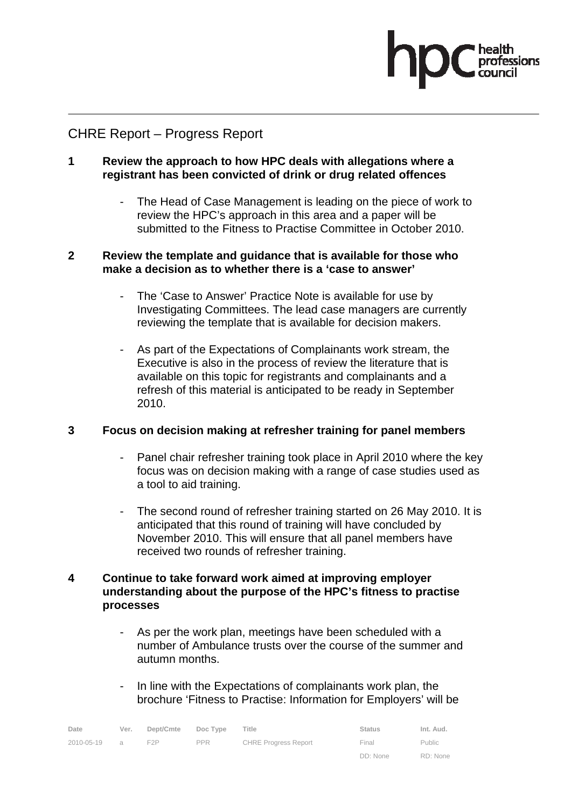# CHRE Report – Progress Report

## **1 Review the approach to how HPC deals with allegations where a registrant has been convicted of drink or drug related offences**

- The Head of Case Management is leading on the piece of work to review the HPC's approach in this area and a paper will be submitted to the Fitness to Practise Committee in October 2010.

## **2 Review the template and guidance that is available for those who make a decision as to whether there is a 'case to answer'**

- The 'Case to Answer' Practice Note is available for use by Investigating Committees. The lead case managers are currently reviewing the template that is available for decision makers.
- As part of the Expectations of Complainants work stream, the Executive is also in the process of review the literature that is available on this topic for registrants and complainants and a refresh of this material is anticipated to be ready in September 2010.

## **3 Focus on decision making at refresher training for panel members**

- Panel chair refresher training took place in April 2010 where the key focus was on decision making with a range of case studies used as a tool to aid training.
- The second round of refresher training started on 26 May 2010. It is anticipated that this round of training will have concluded by November 2010. This will ensure that all panel members have received two rounds of refresher training.

## **4 Continue to take forward work aimed at improving employer understanding about the purpose of the HPC's fitness to practise processes**

- As per the work plan, meetings have been scheduled with a number of Ambulance trusts over the course of the summer and autumn months.
- In line with the Expectations of complainants work plan, the brochure 'Fitness to Practise: Information for Employers' will be

| Date       | Ver.     | Dept/Cmte | Doc Type   | Title                       | <b>Status</b> | Int. Aud. |
|------------|----------|-----------|------------|-----------------------------|---------------|-----------|
| 2010-05-19 | $\alpha$ | F2P       | <b>PPR</b> | <b>CHRE Progress Report</b> | Final         | Public    |
|            |          |           |            |                             | DD: None      | RD: None  |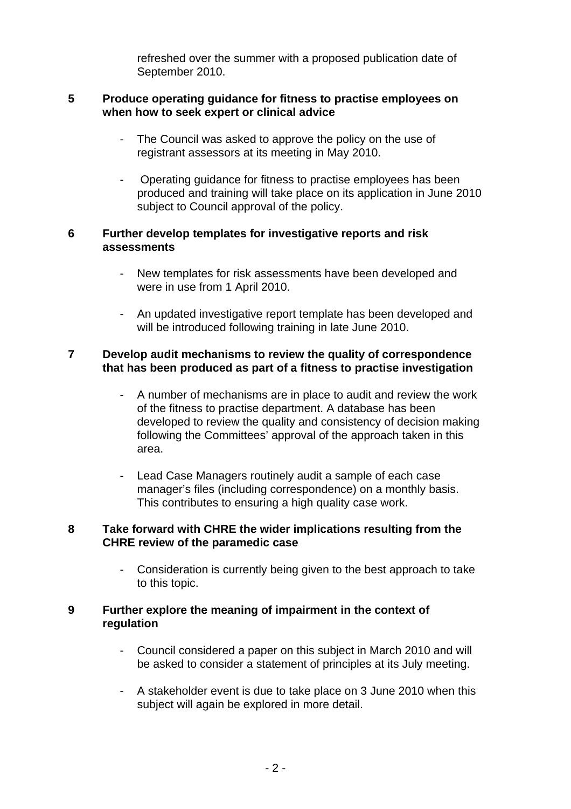refreshed over the summer with a proposed publication date of September 2010.

#### **5 Produce operating guidance for fitness to practise employees on when how to seek expert or clinical advice**

- The Council was asked to approve the policy on the use of registrant assessors at its meeting in May 2010.
- Operating guidance for fitness to practise employees has been produced and training will take place on its application in June 2010 subject to Council approval of the policy.

## **6 Further develop templates for investigative reports and risk assessments**

- New templates for risk assessments have been developed and were in use from 1 April 2010.
- An updated investigative report template has been developed and will be introduced following training in late June 2010.

## **7 Develop audit mechanisms to review the quality of correspondence that has been produced as part of a fitness to practise investigation**

- A number of mechanisms are in place to audit and review the work of the fitness to practise department. A database has been developed to review the quality and consistency of decision making following the Committees' approval of the approach taken in this area.
- Lead Case Managers routinely audit a sample of each case manager's files (including correspondence) on a monthly basis. This contributes to ensuring a high quality case work.

## **8 Take forward with CHRE the wider implications resulting from the CHRE review of the paramedic case**

Consideration is currently being given to the best approach to take to this topic.

## **9 Further explore the meaning of impairment in the context of regulation**

- Council considered a paper on this subject in March 2010 and will be asked to consider a statement of principles at its July meeting.
- A stakeholder event is due to take place on 3 June 2010 when this subject will again be explored in more detail.